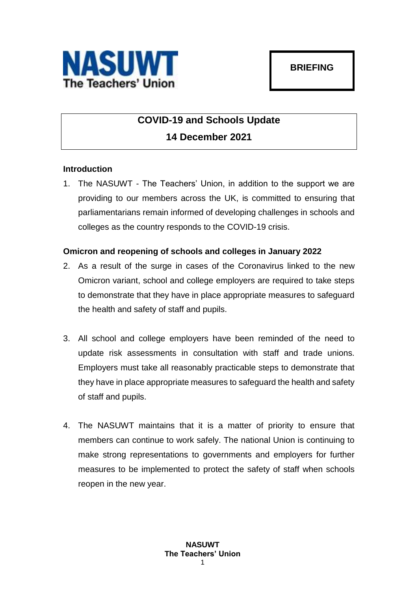

## **COVID-19 and Schools Update 14 December 2021**

## **Introduction**

1. The NASUWT - The Teachers' Union, in addition to the support we are providing to our members across the UK, is committed to ensuring that parliamentarians remain informed of developing challenges in schools and colleges as the country responds to the COVID-19 crisis.

## **Omicron and reopening of schools and colleges in January 2022**

- 2. As a result of the surge in cases of the Coronavirus linked to the new Omicron variant, school and college employers are required to take steps to demonstrate that they have in place appropriate measures to safeguard the health and safety of staff and pupils.
- 3. All school and college employers have been reminded of the need to update risk assessments in consultation with staff and trade unions. Employers must take all reasonably practicable steps to demonstrate that they have in place appropriate measures to safeguard the health and safety of staff and pupils.
- 4. The NASUWT maintains that it is a matter of priority to ensure that members can continue to work safely. The national Union is continuing to make strong representations to governments and employers for further measures to be implemented to protect the safety of staff when schools reopen in the new year.